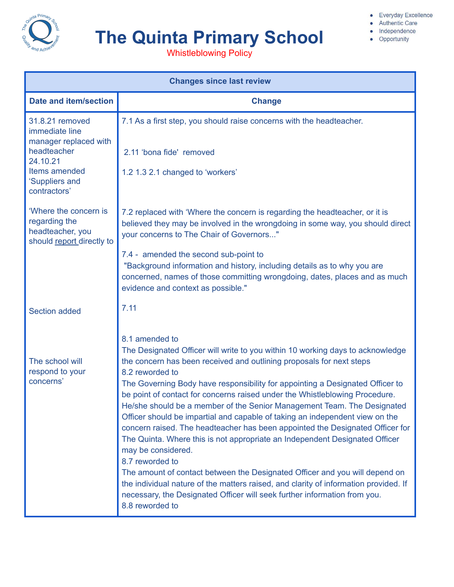

# **The Quinta Primary School**

• Everyday Excellence

• Authentic Care · Independence

• Opportunity

Whistleblowing Policy

| <b>Changes since last review</b>                                                                                                         |                                                                                                                                                                                                                                                                                                                                                                                                                                                                                                                                                                                                                                                                                                                                                                                                                                                                                                                                                                                                        |  |
|------------------------------------------------------------------------------------------------------------------------------------------|--------------------------------------------------------------------------------------------------------------------------------------------------------------------------------------------------------------------------------------------------------------------------------------------------------------------------------------------------------------------------------------------------------------------------------------------------------------------------------------------------------------------------------------------------------------------------------------------------------------------------------------------------------------------------------------------------------------------------------------------------------------------------------------------------------------------------------------------------------------------------------------------------------------------------------------------------------------------------------------------------------|--|
| <b>Date and item/section</b>                                                                                                             | <b>Change</b>                                                                                                                                                                                                                                                                                                                                                                                                                                                                                                                                                                                                                                                                                                                                                                                                                                                                                                                                                                                          |  |
| 31.8.21 removed<br>immediate line<br>manager replaced with<br>headteacher<br>24.10.21<br>Items amended<br>'Suppliers and<br>contractors' | 7.1 As a first step, you should raise concerns with the headteacher.<br>2.11 'bona fide' removed<br>1.2 1.3 2.1 changed to 'workers'                                                                                                                                                                                                                                                                                                                                                                                                                                                                                                                                                                                                                                                                                                                                                                                                                                                                   |  |
| 'Where the concern is<br>regarding the<br>headteacher, you<br>should report directly to                                                  | 7.2 replaced with 'Where the concern is regarding the headteacher, or it is<br>believed they may be involved in the wrongdoing in some way, you should direct<br>your concerns to The Chair of Governors"<br>7.4 - amended the second sub-point to<br>"Background information and history, including details as to why you are<br>concerned, names of those committing wrongdoing, dates, places and as much<br>evidence and context as possible."                                                                                                                                                                                                                                                                                                                                                                                                                                                                                                                                                     |  |
| <b>Section added</b>                                                                                                                     | 7.11                                                                                                                                                                                                                                                                                                                                                                                                                                                                                                                                                                                                                                                                                                                                                                                                                                                                                                                                                                                                   |  |
| The school will<br>respond to your<br>concerns'                                                                                          | 8.1 amended to<br>The Designated Officer will write to you within 10 working days to acknowledge<br>the concern has been received and outlining proposals for next steps<br>8.2 reworded to<br>The Governing Body have responsibility for appointing a Designated Officer to<br>be point of contact for concerns raised under the Whistleblowing Procedure.<br>He/she should be a member of the Senior Management Team. The Designated<br>Officer should be impartial and capable of taking an independent view on the<br>concern raised. The headteacher has been appointed the Designated Officer for<br>The Quinta. Where this is not appropriate an Independent Designated Officer<br>may be considered.<br>8.7 reworded to<br>The amount of contact between the Designated Officer and you will depend on<br>the individual nature of the matters raised, and clarity of information provided. If<br>necessary, the Designated Officer will seek further information from you.<br>8.8 reworded to |  |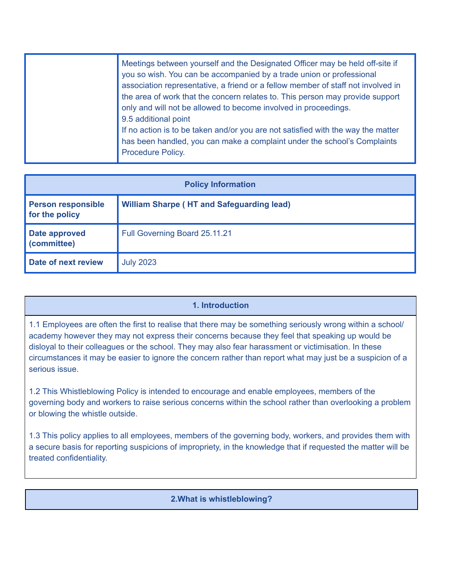| Meetings between yourself and the Designated Officer may be held off-site if<br>you so wish. You can be accompanied by a trade union or professional<br>association representative, a friend or a fellow member of staff not involved in<br>the area of work that the concern relates to. This person may provide support<br>only and will not be allowed to become involved in proceedings.<br>9.5 additional point<br>If no action is to be taken and/or you are not satisfied with the way the matter |
|----------------------------------------------------------------------------------------------------------------------------------------------------------------------------------------------------------------------------------------------------------------------------------------------------------------------------------------------------------------------------------------------------------------------------------------------------------------------------------------------------------|
| has been handled, you can make a complaint under the school's Complaints<br><b>Procedure Policy.</b>                                                                                                                                                                                                                                                                                                                                                                                                     |

| <b>Policy Information</b>                   |                                                  |  |
|---------------------------------------------|--------------------------------------------------|--|
| <b>Person responsible</b><br>for the policy | <b>William Sharpe (HT and Safeguarding lead)</b> |  |
| <b>Date approved</b><br>(committee)         | Full Governing Board 25.11.21                    |  |
| Date of next review                         | <b>July 2023</b>                                 |  |

#### **1. Introduction**

1.1 Employees are often the first to realise that there may be something seriously wrong within a school/ academy however they may not express their concerns because they feel that speaking up would be disloyal to their colleagues or the school. They may also fear harassment or victimisation. In these circumstances it may be easier to ignore the concern rather than report what may just be a suspicion of a serious issue.

1.2 This Whistleblowing Policy is intended to encourage and enable employees, members of the governing body and workers to raise serious concerns within the school rather than overlooking a problem or blowing the whistle outside.

1.3 This policy applies to all employees, members of the governing body, workers, and provides them with a secure basis for reporting suspicions of impropriety, in the knowledge that if requested the matter will be treated confidentiality.

#### **2.What is whistleblowing?**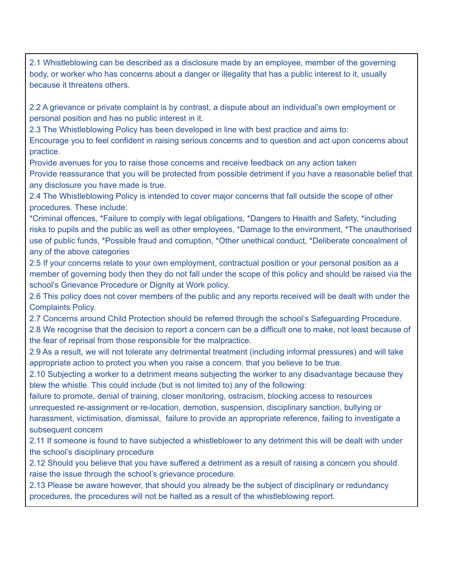2.1 Whistleblowing can be described as a disclosure made by an employee, member of the governing body, or worker who has concerns about a danger or illegality that has a public interest to it, usually because it threatens others.

2.2 A grievance or private complaint is by contrast, a dispute about an individual's own employment or personal position and has no public interest in it.

2.3 The Whistleblowing Policy has been developed in line with best practice and aims to:

Encourage you to feel confident in raising serious concerns and to question and act upon concerns about practice.

Provide avenues for you to raise those concerns and receive feedback on any action taken

Provide reassurance that you will be protected from possible detriment if you have a reasonable belief that any disclosure you have made is true.

2.4 The Whistleblowing Policy is intended to cover major concerns that fall outside the scope of other procedures. These include:

\*Criminal offences, \*Failure to comply with legal obligations, \*Dangers to Health and Safety, \*including risks to pupils and the public as well as other employees, \*Damage to the environment, \*The unauthorised use of public funds, \*Possible fraud and corruption, \*Other unethical conduct, \*Deliberate concealment of any of the above categories

2.5 If your concerns relate to your own employment, contractual position or your personal position as a member of governing body then they do not fall under the scope of this policy and should be raised via the school's Grievance Procedure or Dignity at Work policy.

2.6 This policy does not cover members of the public and any reports received will be dealt with under the Complaints Policy.

2.7 Concerns around Child Protection should be referred through the school's Safeguarding Procedure.

2.8 We recognise that the decision to report a concern can be a difficult one to make, not least because of the fear of reprisal from those responsible for the malpractice.

2.9 As a result, we will not tolerate any detrimental treatment (including informal pressures) and will take appropriate action to protect you when you raise a concern. that you believe to be true.

2.10 Subjecting a worker to a detriment means subjecting the worker to any disadvantage because they blew the whistle. This could include (but is not limited to) any of the following:

failure to promote, denial of training, closer monitoring, ostracism, blocking access to resources unrequested re-assignment or re-location, demotion, suspension, disciplinary sanction, bullying or harassment, victimisation, dismissal, failure to provide an appropriate reference, failing to investigate a subsequent concern

2.11 If someone is found to have subjected a whistleblower to any detriment this will be dealt with under the school's disciplinary procedure

2.12 Should you believe that you have suffered a detriment as a result of raising a concern you should raise the issue through the school's grievance procedure.

2.13 Please be aware however, that should you already be the subject of disciplinary or redundancy procedures, the procedures will not be halted as a result of the whistleblowing report.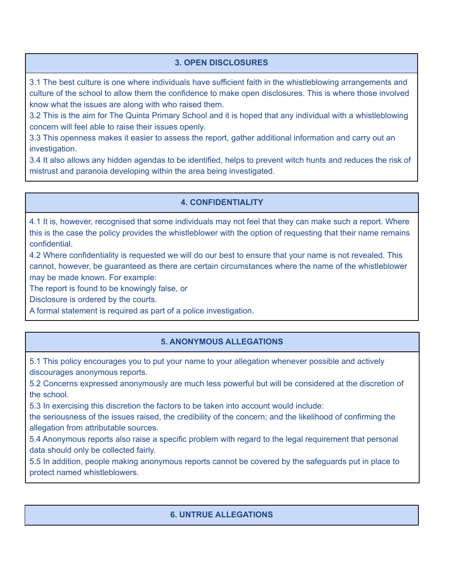# **3. OPEN DISCLOSURES**

3.1 The best culture is one where individuals have sufficient faith in the whistleblowing arrangements and culture of the school to allow them the confidence to make open disclosures. This is where those involved know what the issues are along with who raised them.

3.2 This is the aim for The Quinta Primary School and it is hoped that any individual with a whistleblowing concern will feel able to raise their issues openly.

3.3 This openness makes it easier to assess the report, gather additional information and carry out an investigation.

3.4 It also allows any hidden agendas to be identified, helps to prevent witch hunts and reduces the risk of mistrust and paranoia developing within the area being investigated.

### **4. CONFIDENTIALITY**

4.1 It is, however, recognised that some individuals may not feel that they can make such a report. Where this is the case the policy provides the whistleblower with the option of requesting that their name remains confidential.

4.2 Where confidentiality is requested we will do our best to ensure that your name is not revealed. This cannot, however, be guaranteed as there are certain circumstances where the name of the whistleblower may be made known. For example:

The report is found to be knowingly false, or

Disclosure is ordered by the courts.

A formal statement is required as part of a police investigation.

# **5. ANONYMOUS ALLEGATIONS**

5.1 This policy encourages you to put your name to your allegation whenever possible and actively discourages anonymous reports.

5.2 Concerns expressed anonymously are much less powerful but will be considered at the discretion of the school.

5.3 In exercising this discretion the factors to be taken into account would include:

the seriousness of the issues raised, the credibility of the concern; and the likelihood of confirming the allegation from attributable sources.

5.4 Anonymous reports also raise a specific problem with regard to the legal requirement that personal data should only be collected fairly.

5.5 In addition, people making anonymous reports cannot be covered by the safeguards put in place to protect named whistleblowers.

# **6. UNTRUE ALLEGATIONS**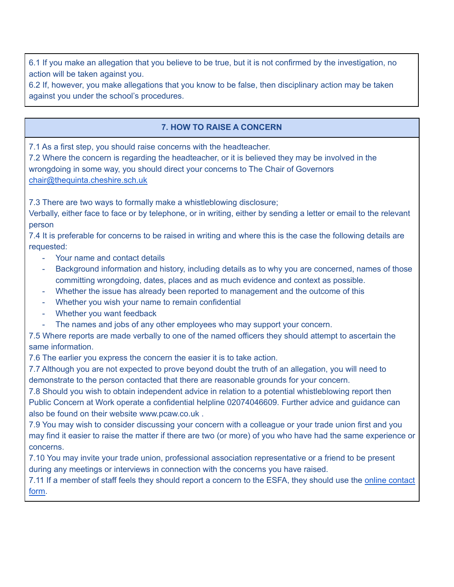6.1 If you make an allegation that you believe to be true, but it is not confirmed by the investigation, no action will be taken against you.

6.2 If, however, you make allegations that you know to be false, then disciplinary action may be taken against you under the school's procedures.

## **7. HOW TO RAISE A CONCERN**

7.1 As a first step, you should raise concerns with the headteacher.

7.2 Where the concern is regarding the headteacher, or it is believed they may be involved in the wrongdoing in some way, you should direct your concerns to The Chair of Governors [chair@thequinta.cheshire.sch.uk](mailto:chair@thequinta.cheshire.sch.uk)

7.3 There are two ways to formally make a whistleblowing disclosure;

Verbally, either face to face or by telephone, or in writing, either by sending a letter or email to the relevant person

7.4 It is preferable for concerns to be raised in writing and where this is the case the following details are requested:

- Your name and contact details
- Background information and history, including details as to why you are concerned, names of those committing wrongdoing, dates, places and as much evidence and context as possible.
- Whether the issue has already been reported to management and the outcome of this
- Whether you wish your name to remain confidential
- Whether you want feedback
- The names and jobs of any other employees who may support your concern.

7.5 Where reports are made verbally to one of the named officers they should attempt to ascertain the same information.

7.6 The earlier you express the concern the easier it is to take action.

7.7 Although you are not expected to prove beyond doubt the truth of an allegation, you will need to demonstrate to the person contacted that there are reasonable grounds for your concern.

7.8 Should you wish to obtain independent advice in relation to a potential whistleblowing report then Public Concern at Work operate a confidential helpline 02074046609. Further advice and guidance can also be found on their website www.pcaw.co.uk .

7.9 You may wish to consider discussing your concern with a colleague or your trade union first and you may find it easier to raise the matter if there are two (or more) of you who have had the same experience or concerns.

7.10 You may invite your trade union, professional association representative or a friend to be present during any meetings or interviews in connection with the concerns you have raised.

7.11 If a member of staff feels they should report a concern to the ESFA, they should use the online [contact](https://form.education.gov.uk/en/AchieveForms/?form_uri=sandbox-publish://AF-Process-f1453496-7d8a-463f-9f33-1da2ac47ed76/AF-Stage-1e64d4cc-25fb-499a-a8d7-74e98203ac00/definition.json&redirectlink=%2Fen&cancelRedirectLink=%2Fenm) [form.](https://form.education.gov.uk/en/AchieveForms/?form_uri=sandbox-publish://AF-Process-f1453496-7d8a-463f-9f33-1da2ac47ed76/AF-Stage-1e64d4cc-25fb-499a-a8d7-74e98203ac00/definition.json&redirectlink=%2Fen&cancelRedirectLink=%2Fenm)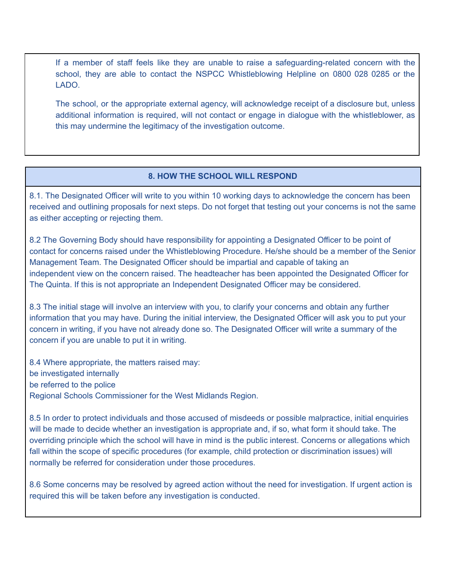If a member of staff feels like they are unable to raise a safeguarding-related concern with the school, they are able to contact the NSPCC Whistleblowing Helpline on 0800 028 0285 or the LADO.

The school, or the appropriate external agency, will acknowledge receipt of a disclosure but, unless additional information is required, will not contact or engage in dialogue with the whistleblower, as this may undermine the legitimacy of the investigation outcome.

#### **8. HOW THE SCHOOL WILL RESPOND**

8.1. The Designated Officer will write to you within 10 working days to acknowledge the concern has been received and outlining proposals for next steps. Do not forget that testing out your concerns is not the same as either accepting or rejecting them.

8.2 The Governing Body should have responsibility for appointing a Designated Officer to be point of contact for concerns raised under the Whistleblowing Procedure. He/she should be a member of the Senior Management Team. The Designated Officer should be impartial and capable of taking an independent view on the concern raised. The headteacher has been appointed the Designated Officer for The Quinta. If this is not appropriate an Independent Designated Officer may be considered.

8.3 The initial stage will involve an interview with you, to clarify your concerns and obtain any further information that you may have. During the initial interview, the Designated Officer will ask you to put your concern in writing, if you have not already done so. The Designated Officer will write a summary of the concern if you are unable to put it in writing*.*

8.4 Where appropriate, the matters raised may: be investigated internally be referred to the police Regional Schools Commissioner for the West Midlands Region.

8.5 In order to protect individuals and those accused of misdeeds or possible malpractice, initial enquiries will be made to decide whether an investigation is appropriate and, if so, what form it should take. The overriding principle which the school will have in mind is the public interest. Concerns or allegations which fall within the scope of specific procedures (for example, child protection or discrimination issues) will normally be referred for consideration under those procedures.

8.6 Some concerns may be resolved by agreed action without the need for investigation. If urgent action is required this will be taken before any investigation is conducted.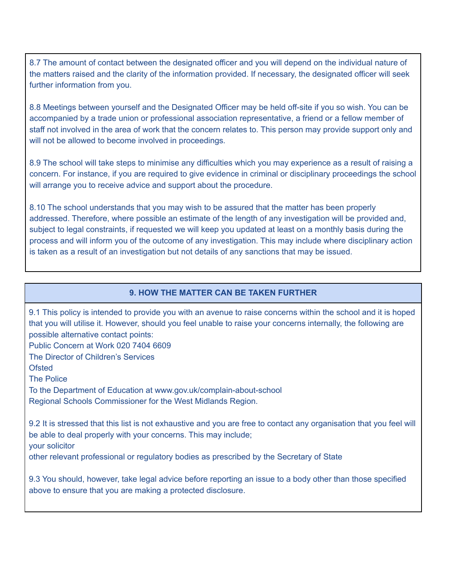8.7 The amount of contact between the designated officer and you will depend on the individual nature of the matters raised and the clarity of the information provided. If necessary, the designated officer will seek further information from you.

8.8 Meetings between yourself and the Designated Officer may be held off-site if you so wish. You can be accompanied by a trade union or professional association representative, a friend or a fellow member of staff not involved in the area of work that the concern relates to. This person may provide support only and will not be allowed to become involved in proceedings*.*

8.9 The school will take steps to minimise any difficulties which you may experience as a result of raising a concern. For instance, if you are required to give evidence in criminal or disciplinary proceedings the school will arrange you to receive advice and support about the procedure.

8.10 The school understands that you may wish to be assured that the matter has been properly addressed. Therefore, where possible an estimate of the length of any investigation will be provided and, subject to legal constraints, if requested we will keep you updated at least on a monthly basis during the process and will inform you of the outcome of any investigation. This may include where disciplinary action is taken as a result of an investigation but not details of any sanctions that may be issued.

#### **9. HOW THE MATTER CAN BE TAKEN FURTHER**

9.1 This policy is intended to provide you with an avenue to raise concerns within the school and it is hoped that you will utilise it. However, should you feel unable to raise your concerns internally, the following are possible alternative contact points:

Public Concern at Work 020 7404 6609

The Director of Children's Services

**Ofsted** 

The Police

To the Department of Education at www.gov.uk/complain-about-school Regional Schools Commissioner for the West Midlands Region.

9.2 It is stressed that this list is not exhaustive and you are free to contact any organisation that you feel will be able to deal properly with your concerns. This may include; your solicitor

other relevant professional or regulatory bodies as prescribed by the Secretary of State

9.3 You should, however, take legal advice before reporting an issue to a body other than those specified above to ensure that you are making a protected disclosure.